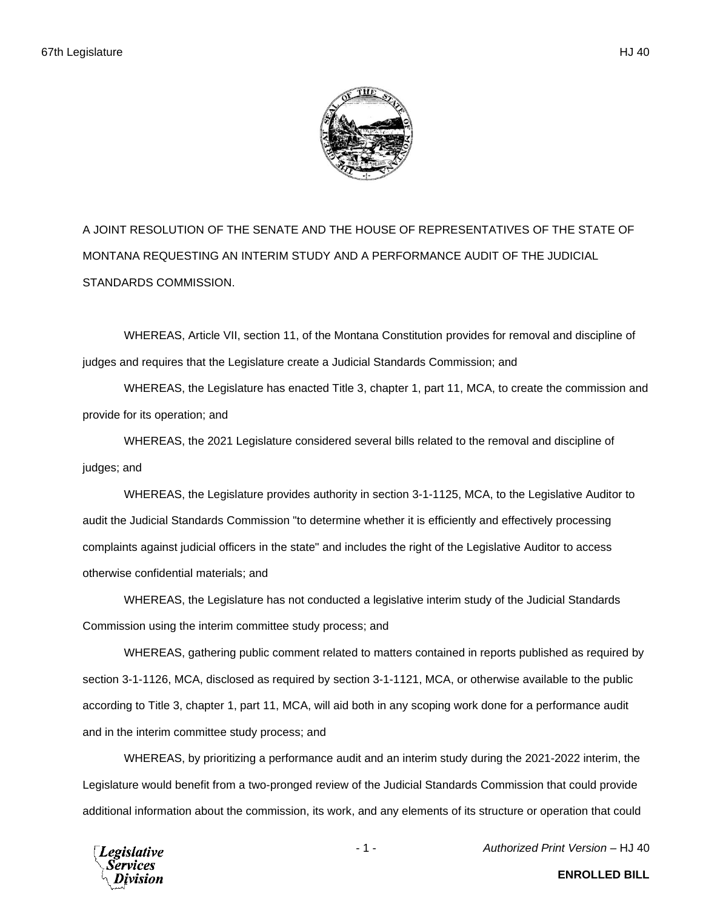

A JOINT RESOLUTION OF THE SENATE AND THE HOUSE OF REPRESENTATIVES OF THE STATE OF MONTANA REQUESTING AN INTERIM STUDY AND A PERFORMANCE AUDIT OF THE JUDICIAL STANDARDS COMMISSION.

WHEREAS, Article VII, section 11, of the Montana Constitution provides for removal and discipline of judges and requires that the Legislature create a Judicial Standards Commission; and

WHEREAS, the Legislature has enacted Title 3, chapter 1, part 11, MCA, to create the commission and provide for its operation; and

WHEREAS, the 2021 Legislature considered several bills related to the removal and discipline of judges; and

WHEREAS, the Legislature provides authority in section 3-1-1125, MCA, to the Legislative Auditor to audit the Judicial Standards Commission "to determine whether it is efficiently and effectively processing complaints against judicial officers in the state" and includes the right of the Legislative Auditor to access otherwise confidential materials; and

WHEREAS, the Legislature has not conducted a legislative interim study of the Judicial Standards Commission using the interim committee study process; and

WHEREAS, gathering public comment related to matters contained in reports published as required by section 3-1-1126, MCA, disclosed as required by section 3-1-1121, MCA, or otherwise available to the public according to Title 3, chapter 1, part 11, MCA, will aid both in any scoping work done for a performance audit and in the interim committee study process; and

WHEREAS, by prioritizing a performance audit and an interim study during the 2021-2022 interim, the Legislature would benefit from a two-pronged review of the Judicial Standards Commission that could provide additional information about the commission, its work, and any elements of its structure or operation that could

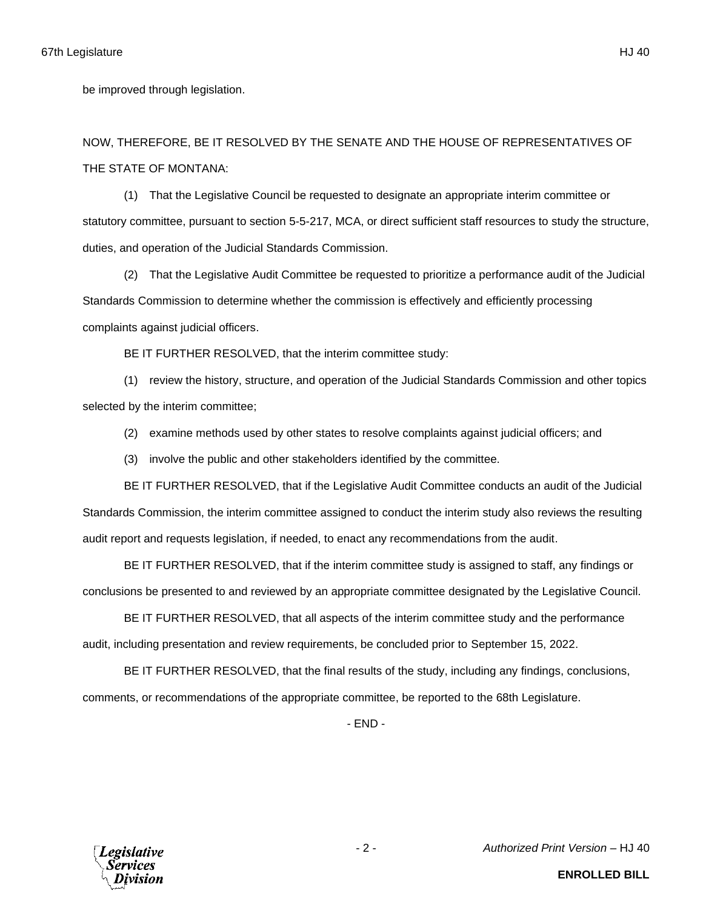be improved through legislation.

NOW, THEREFORE, BE IT RESOLVED BY THE SENATE AND THE HOUSE OF REPRESENTATIVES OF THE STATE OF MONTANA:

(1) That the Legislative Council be requested to designate an appropriate interim committee or statutory committee, pursuant to section 5-5-217, MCA, or direct sufficient staff resources to study the structure, duties, and operation of the Judicial Standards Commission.

(2) That the Legislative Audit Committee be requested to prioritize a performance audit of the Judicial Standards Commission to determine whether the commission is effectively and efficiently processing complaints against judicial officers.

BE IT FURTHER RESOLVED, that the interim committee study:

(1) review the history, structure, and operation of the Judicial Standards Commission and other topics selected by the interim committee;

(2) examine methods used by other states to resolve complaints against judicial officers; and

(3) involve the public and other stakeholders identified by the committee.

BE IT FURTHER RESOLVED, that if the Legislative Audit Committee conducts an audit of the Judicial Standards Commission, the interim committee assigned to conduct the interim study also reviews the resulting audit report and requests legislation, if needed, to enact any recommendations from the audit.

BE IT FURTHER RESOLVED, that if the interim committee study is assigned to staff, any findings or conclusions be presented to and reviewed by an appropriate committee designated by the Legislative Council.

BE IT FURTHER RESOLVED, that all aspects of the interim committee study and the performance audit, including presentation and review requirements, be concluded prior to September 15, 2022.

BE IT FURTHER RESOLVED, that the final results of the study, including any findings, conclusions, comments, or recommendations of the appropriate committee, be reported to the 68th Legislature.

- END -



**ENROLLED BILL**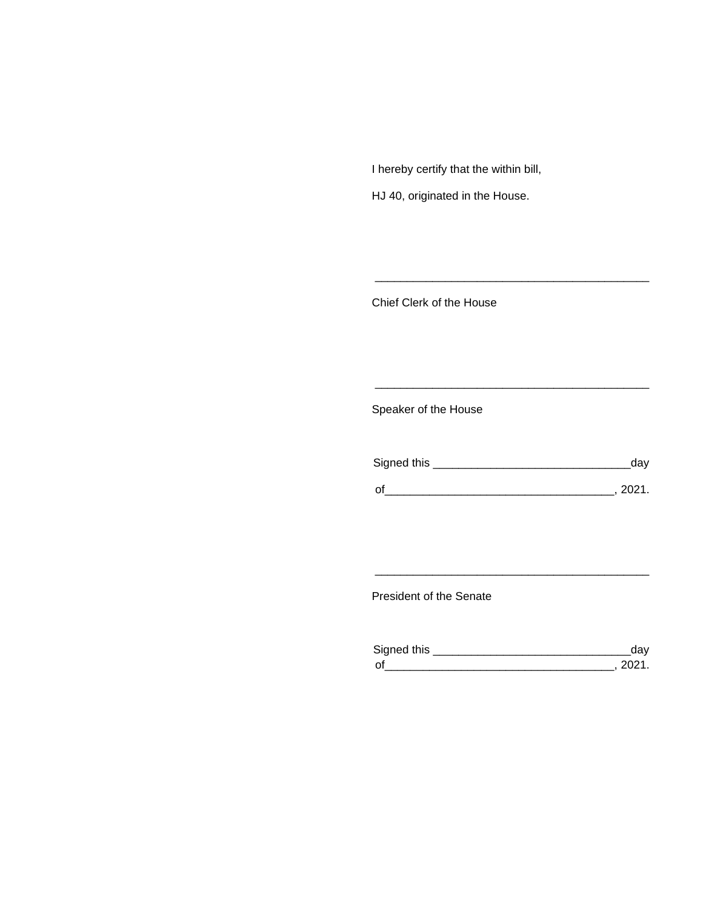I hereby certify that the within bill,

HJ 40, originated in the House.

Chief Clerk of the House

Speaker of the House

| Signed this | dav      |
|-------------|----------|
| $\Omega$    | - 2021 - |

\_\_\_\_\_\_\_\_\_\_\_\_\_\_\_\_\_\_\_\_\_\_\_\_\_\_\_\_\_\_\_\_\_\_\_\_\_\_\_\_\_\_\_

\_\_\_\_\_\_\_\_\_\_\_\_\_\_\_\_\_\_\_\_\_\_\_\_\_\_\_\_\_\_\_\_\_\_\_\_\_\_\_\_\_\_\_

President of the Senate

| Sianed this |  |
|-------------|--|
| $\Omega$    |  |

\_\_\_\_\_\_\_\_\_\_\_\_\_\_\_\_\_\_\_\_\_\_\_\_\_\_\_\_\_\_\_\_\_\_\_\_\_\_\_\_\_\_\_